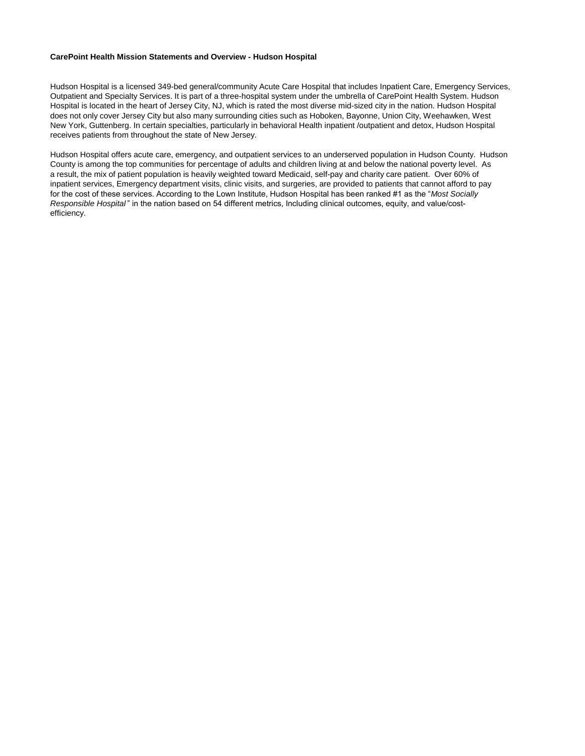### **CarePoint Health Mission Statements and Overview - Hudson Hospital**

Hudson Hospital is a licensed 349-bed general/community Acute Care Hospital that includes Inpatient Care, Emergency Services, Outpatient and Specialty Services. It is part of a three-hospital system under the umbrella of CarePoint Health System. Hudson Hospital is located in the heart of Jersey City, NJ, which is rated the most diverse mid-sized city in the nation. Hudson Hospital does not only cover Jersey City but also many surrounding cities such as Hoboken, Bayonne, Union City, Weehawken, West New York, Guttenberg. In certain specialties, particularly in behavioral Health inpatient /outpatient and detox, Hudson Hospital receives patients from throughout the state of New Jersey.

Hudson Hospital offers acute care, emergency, and outpatient services to an underserved population in Hudson County. Hudson County is among the top communities for percentage of adults and children living at and below the national poverty level. As a result, the mix of patient population is heavily weighted toward Medicaid, self-pay and charity care patient. Over 60% of inpatient services, Emergency department visits, clinic visits, and surgeries, are provided to patients that cannot afford to pay for the cost of these services. According to the Lown Institute, Hudson Hospital has been ranked #1 as the "*Most Socially Responsible Hospital* " in the nation based on 54 different metrics, Including clinical outcomes, equity, and value/costefficiency.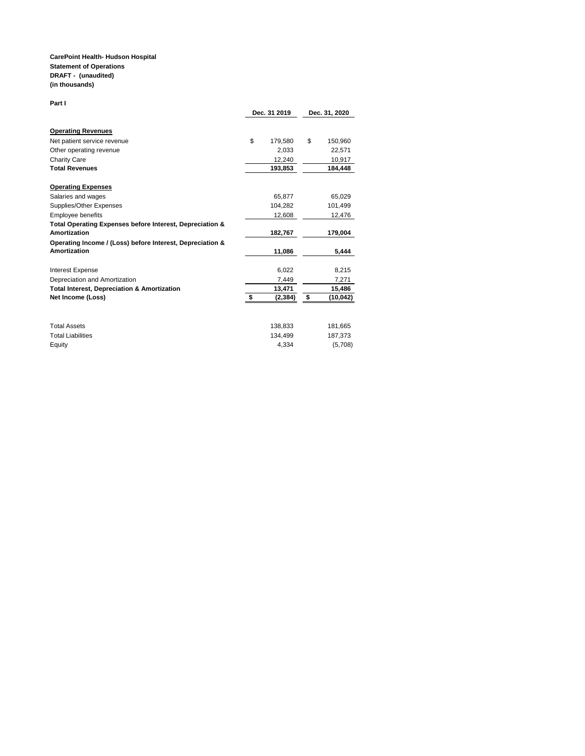#### **CarePoint Health- Hudson Hospital Statement of Operations DRAFT - (unaudited) (in thousands)**

#### **Part I**

|                                                           | Dec. 31 2019 |          | Dec. 31, 2020 |          |
|-----------------------------------------------------------|--------------|----------|---------------|----------|
| <b>Operating Revenues</b>                                 |              |          |               |          |
| Net patient service revenue                               | \$           | 179,580  | \$            | 150,960  |
| Other operating revenue                                   |              | 2.033    |               | 22,571   |
| <b>Charity Care</b>                                       |              | 12,240   |               | 10,917   |
| <b>Total Revenues</b>                                     |              | 193,853  |               | 184.448  |
| <b>Operating Expenses</b>                                 |              |          |               |          |
| Salaries and wages                                        |              | 65.877   |               | 65,029   |
| Supplies/Other Expenses                                   |              | 104,282  |               | 101,499  |
| <b>Employee benefits</b>                                  |              | 12,608   |               | 12,476   |
| Total Operating Expenses before Interest, Depreciation &  |              |          |               |          |
| Amortization                                              |              | 182,767  |               | 179,004  |
| Operating Income / (Loss) before Interest, Depreciation & |              |          |               |          |
| <b>Amortization</b>                                       |              | 11,086   |               | 5.444    |
| <b>Interest Expense</b>                                   |              | 6,022    |               | 8,215    |
| Depreciation and Amortization                             |              | 7,449    |               | 7,271    |
| <b>Total Interest, Depreciation &amp; Amortization</b>    |              | 13,471   |               | 15,486   |
| Net Income (Loss)                                         | \$           | (2, 384) | \$            | (10,042) |
|                                                           |              |          |               |          |
| <b>Total Assets</b>                                       |              | 138,833  |               | 181,665  |
| <b>Total Liabilities</b>                                  |              | 134,499  |               | 187,373  |
| Equity                                                    |              | 4.334    |               | (5,708)  |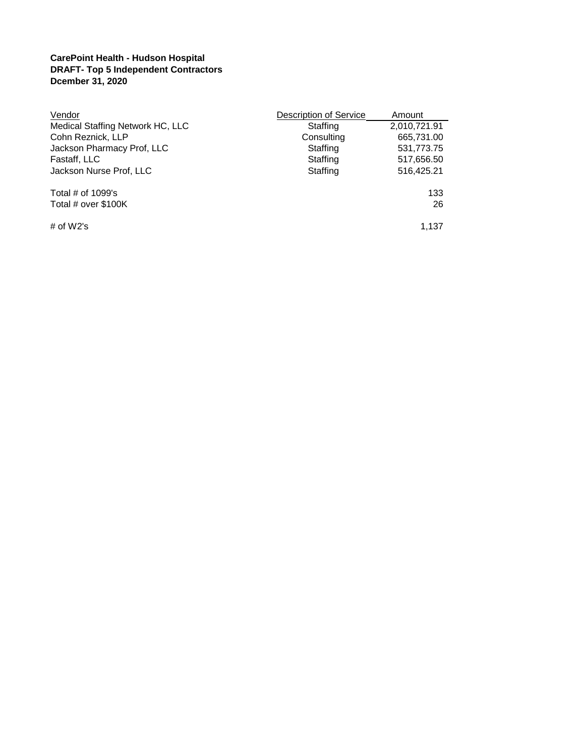## **CarePoint Health - Hudson Hospital DRAFT- Top 5 Independent Contractors Dcember 31, 2020**

| Vendor                           | Description of Service | Amount       |
|----------------------------------|------------------------|--------------|
| Medical Staffing Network HC, LLC | Staffing               | 2,010,721.91 |
| Cohn Reznick, LLP                | Consulting             | 665,731.00   |
| Jackson Pharmacy Prof, LLC       | Staffing               | 531,773.75   |
| Fastaff, LLC                     | Staffing               | 517,656.50   |
| Jackson Nurse Prof, LLC          | Staffing               | 516,425.21   |
| Total $#$ of 1099's              |                        | 133          |
| Total # over \$100K              |                        | 26           |
| # of $W2's$                      |                        | 1.137        |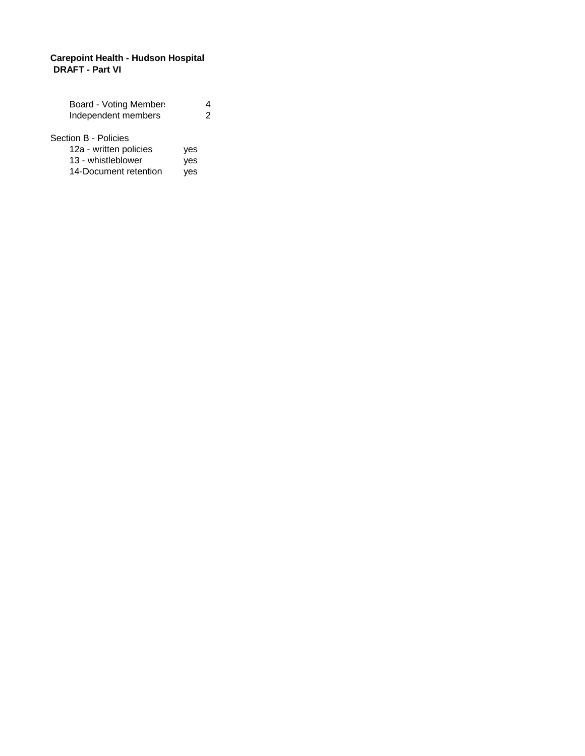## **Carepoint Health - Hudson Hospital DRAFT - Part VI**

| Board - Voting Member:                                               |            |   |
|----------------------------------------------------------------------|------------|---|
| Independent members                                                  |            | 2 |
| Section B - Policies<br>12a - written policies<br>13 - whistleblower | yes<br>ves |   |

| <u> 19 - MINONCIANO I</u> | yco |
|---------------------------|-----|
| 14-Document retention     | yes |
|                           |     |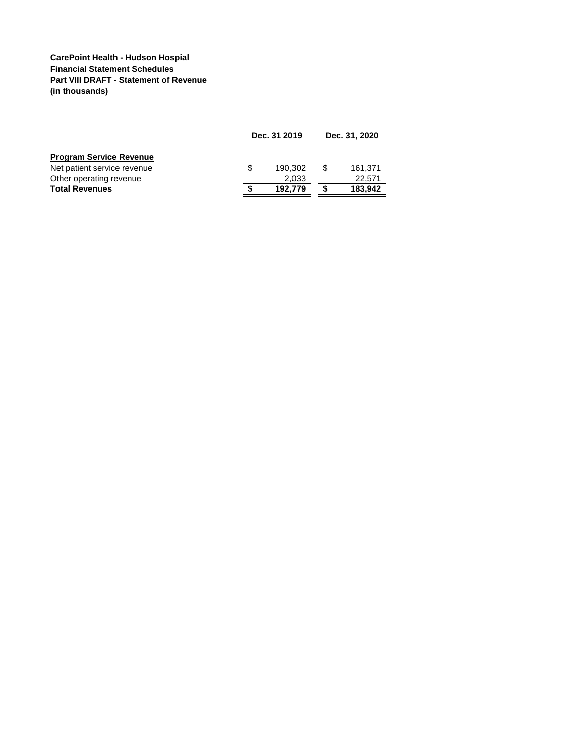### **CarePoint Health - Hudson Hospial Financial Statement Schedules Part VIII DRAFT - Statement of Revenue (in thousands)**

|                                |   | Dec. 31 2019 |  | Dec. 31, 2020 |
|--------------------------------|---|--------------|--|---------------|
| <b>Program Service Revenue</b> |   |              |  |               |
| Net patient service revenue    | S | 190.302      |  | 161.371       |
| Other operating revenue        |   | 2.033        |  | 22.571        |
| <b>Total Revenues</b>          |   | 192.779      |  | 183,942       |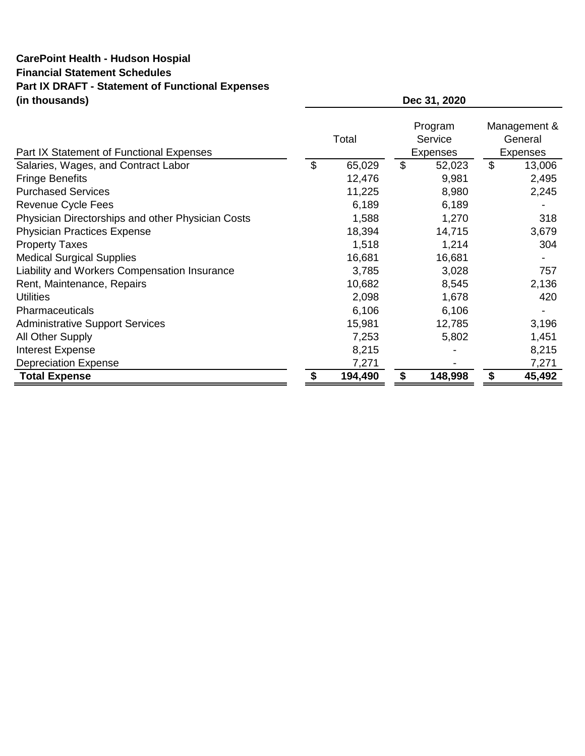# **CarePoint Health - Hudson Hospial Financial Statement Schedules Part IX DRAFT - Statement of Functional Expenses (in thousands)**

| Part IX Statement of Functional Expenses          | Total        | Program<br>Service<br><b>Expenses</b> |                | Management &<br>General<br><b>Expenses</b> |
|---------------------------------------------------|--------------|---------------------------------------|----------------|--------------------------------------------|
| Salaries, Wages, and Contract Labor               | \$<br>65,029 | \$<br>52,023                          | $\mathfrak{L}$ | 13,006                                     |
| <b>Fringe Benefits</b>                            | 12,476       | 9,981                                 |                | 2,495                                      |
| <b>Purchased Services</b>                         | 11,225       | 8,980                                 |                | 2,245                                      |
| Revenue Cycle Fees                                | 6,189        | 6,189                                 |                |                                            |
| Physician Directorships and other Physician Costs | 1,588        | 1,270                                 |                | 318                                        |
| <b>Physician Practices Expense</b>                | 18,394       | 14,715                                |                | 3,679                                      |
| <b>Property Taxes</b>                             | 1,518        | 1,214                                 |                | 304                                        |
| <b>Medical Surgical Supplies</b>                  | 16,681       | 16,681                                |                |                                            |
| Liability and Workers Compensation Insurance      | 3,785        | 3,028                                 |                | 757                                        |
| Rent, Maintenance, Repairs                        | 10,682       | 8,545                                 |                | 2,136                                      |
| <b>Utilities</b>                                  | 2,098        | 1,678                                 |                | 420                                        |
| Pharmaceuticals                                   | 6,106        | 6,106                                 |                |                                            |
| <b>Administrative Support Services</b>            | 15,981       | 12,785                                |                | 3,196                                      |
| All Other Supply                                  | 7,253        | 5,802                                 |                | 1,451                                      |
| <b>Interest Expense</b>                           | 8,215        |                                       |                | 8,215                                      |
| <b>Depreciation Expense</b>                       | 7,271        |                                       |                | 7,271                                      |
| <b>Total Expense</b>                              | 194,490      | 148,998                               |                | 45,492                                     |

**Dec 31, 2020**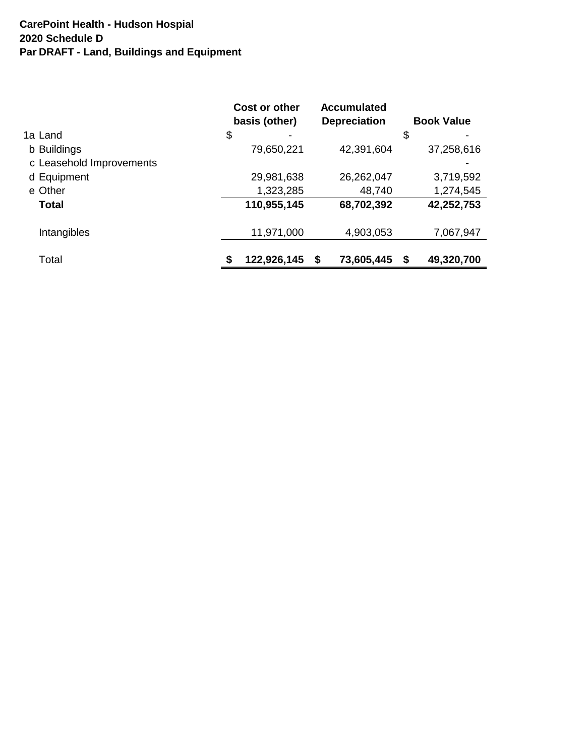# **CarePoint Health - Hudson Hospial** Par DRAFT - Land, Buildings and Equipment **2020 Schedule D**

| Cost or other<br>basis (other) | <b>Accumulated</b><br><b>Depreciation</b> | <b>Book Value</b> |
|--------------------------------|-------------------------------------------|-------------------|
| \$                             |                                           | \$                |
| 79,650,221                     | 42,391,604                                | 37,258,616        |
|                                |                                           |                   |
| 29,981,638                     | 26,262,047                                | 3,719,592         |
| 1,323,285                      | 48,740                                    | 1,274,545         |
| 110,955,145                    | 68,702,392                                | 42,252,753        |
| 11,971,000                     | 4,903,053                                 | 7,067,947         |
| 122,926,145<br>S               | \$<br>73,605,445                          | \$<br>49,320,700  |
|                                |                                           |                   |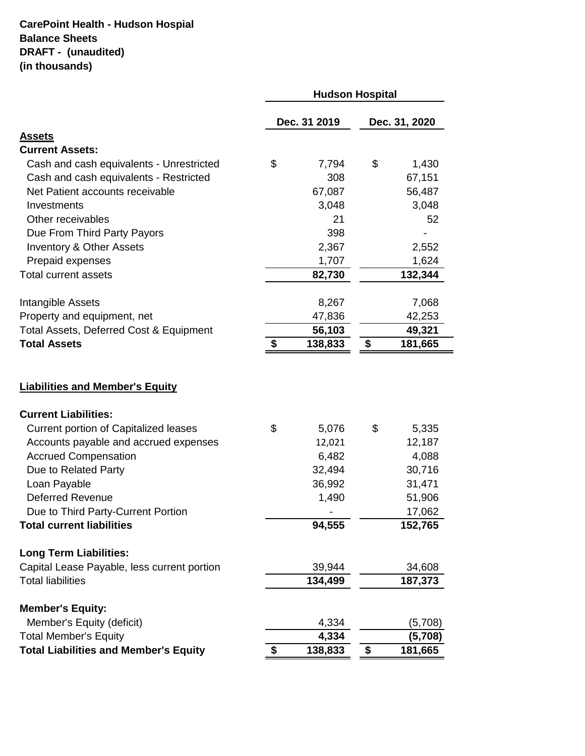# **CarePoint Health - Hudson Hospial Balance Sheets DRAFT - (unaudited) (in thousands)**

|                                              | <b>Hudson Hospital</b> |              |    |               |
|----------------------------------------------|------------------------|--------------|----|---------------|
|                                              |                        | Dec. 31 2019 |    | Dec. 31, 2020 |
| <u>Assets</u>                                |                        |              |    |               |
| <b>Current Assets:</b>                       |                        |              |    |               |
| Cash and cash equivalents - Unrestricted     | \$                     | 7,794        | \$ | 1,430         |
| Cash and cash equivalents - Restricted       |                        | 308          |    | 67,151        |
| Net Patient accounts receivable              |                        | 67,087       |    | 56,487        |
| Investments                                  |                        | 3,048        |    | 3,048         |
| Other receivables                            |                        | 21           |    | 52            |
| Due From Third Party Payors                  |                        | 398          |    |               |
| <b>Inventory &amp; Other Assets</b>          |                        | 2,367        |    | 2,552         |
| Prepaid expenses                             |                        | 1,707        |    | 1,624         |
| <b>Total current assets</b>                  |                        | 82,730       |    | 132,344       |
| Intangible Assets                            |                        | 8,267        |    | 7,068         |
| Property and equipment, net                  |                        | 47,836       |    | 42,253        |
| Total Assets, Deferred Cost & Equipment      |                        | 56,103       |    | 49,321        |
| <b>Total Assets</b>                          | \$                     | 138,833      | \$ | 181,665       |
|                                              |                        |              |    |               |
| <b>Current Liabilities:</b>                  |                        |              |    |               |
| <b>Current portion of Capitalized leases</b> | \$                     | 5,076        | \$ | 5,335         |
| Accounts payable and accrued expenses        |                        | 12,021       |    | 12,187        |
| <b>Accrued Compensation</b>                  |                        | 6,482        |    | 4,088         |
| Due to Related Party                         |                        | 32,494       |    | 30,716        |
| Loan Payable                                 |                        | 36,992       |    | 31,471        |
| <b>Deferred Revenue</b>                      |                        | 1,490        |    | 51,906        |
| Due to Third Party-Current Portion           |                        |              |    | 17,062        |
| <b>Total current liabilities</b>             |                        | 94,555       |    | 152,765       |
| <b>Long Term Liabilities:</b>                |                        |              |    |               |
| Capital Lease Payable, less current portion  |                        | 39,944       |    | 34,608        |
| <b>Total liabilities</b>                     |                        | 134,499      |    | 187,373       |
| <b>Member's Equity:</b>                      |                        |              |    |               |
| Member's Equity (deficit)                    |                        | 4,334        |    | (5,708)       |
| <b>Total Member's Equity</b>                 |                        | 4,334        |    | (5,708)       |
| <b>Total Liabilities and Member's Equity</b> | \$                     | 138,833      | \$ | 181,665       |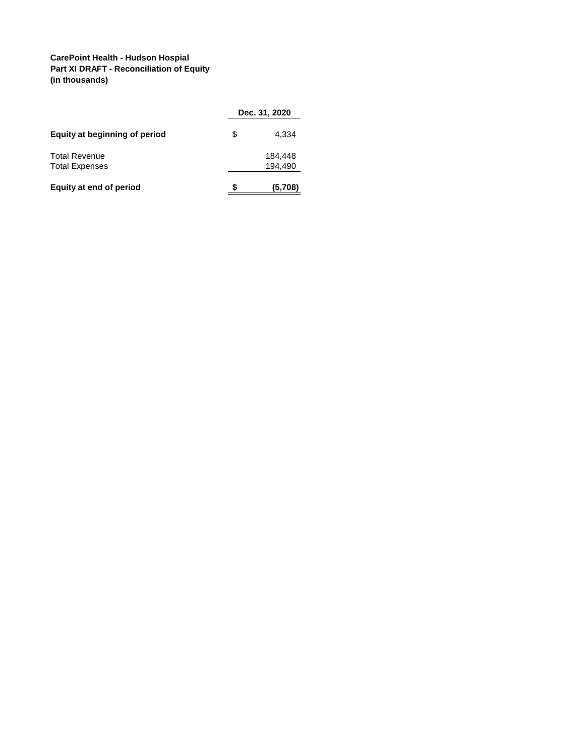### **CarePoint Health - Hudson Hospial Part XI DRAFT - Reconciliation of Equity (in thousands)**

|                               |   | Dec. 31, 2020 |
|-------------------------------|---|---------------|
| Equity at beginning of period | S | 4.334         |
| <b>Total Revenue</b>          |   | 184,448       |
| <b>Total Expenses</b>         |   | 194.490       |
| Equity at end of period       | S | (5,708)       |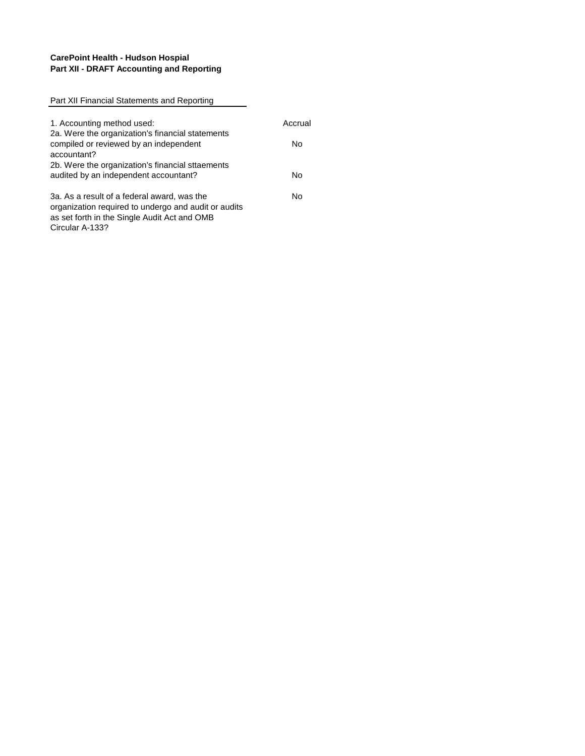### **CarePoint Health - Hudson Hospial Part XII - DRAFT Accounting and Reporting**

| Part XII Financial Statements and Reporting          |         |
|------------------------------------------------------|---------|
|                                                      |         |
| 1. Accounting method used:                           | Accrual |
| 2a. Were the organization's financial statements     |         |
| compiled or reviewed by an independent               | No      |
| accountant?                                          |         |
| 2b. Were the organization's financial sttaements     |         |
| audited by an independent accountant?                | N٥      |
| 3a. As a result of a federal award, was the          | N٥      |
| organization required to undergo and audit or audits |         |
| as set forth in the Single Audit Act and OMB         |         |
| Circular A-133?                                      |         |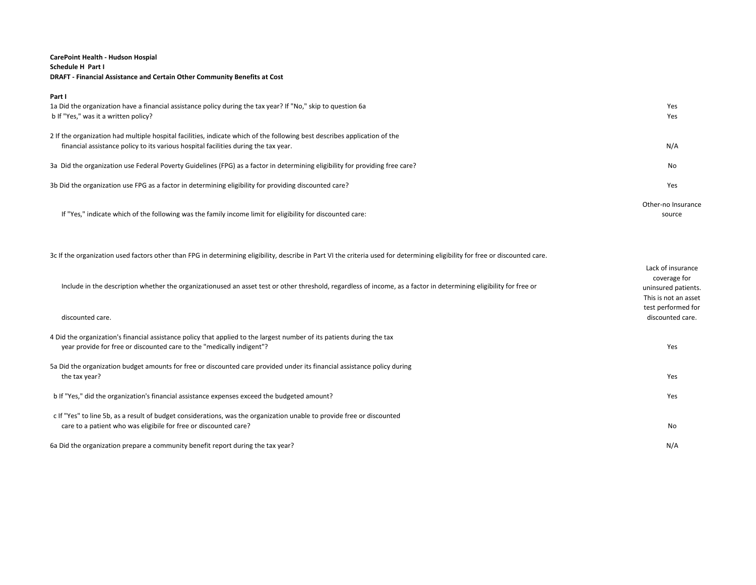### **CarePoint Health - Hudson Hospial Schedule H Part I DRAFT - Financial Assistance and Certain Other Community Benefits at Cost**

| Part I<br>1a Did the organization have a financial assistance policy during the tax year? If "No," skip to question 6a<br>b If "Yes," was it a written policy?                                                   | Yes<br>Yes                   |
|------------------------------------------------------------------------------------------------------------------------------------------------------------------------------------------------------------------|------------------------------|
| 2 If the organization had multiple hospital facilities, indicate which of the following best describes application of the<br>financial assistance policy to its various hospital facilities during the tax year. | N/A                          |
| 3a Did the organization use Federal Poverty Guidelines (FPG) as a factor in determining eligibility for providing free care?                                                                                     | No                           |
| 3b Did the organization use FPG as a factor in determining eligibility for providing discounted care?                                                                                                            | Yes                          |
| If "Yes," indicate which of the following was the family income limit for eligibility for discounted care:                                                                                                       | Other-no Insurance<br>source |

3c If the organization used factors other than FPG in determining eligibility, describe in Part VI the criteria used for determining eligibility for free or discounted care.

| Include in the description whether the organizationused an asset test or other threshold, regardless of income, as a factor in determining eligibility for free or<br>discounted care.          | Lack of insurance<br>coverage for<br>uninsured patients.<br>This is not an asset<br>test performed for<br>discounted care. |
|-------------------------------------------------------------------------------------------------------------------------------------------------------------------------------------------------|----------------------------------------------------------------------------------------------------------------------------|
| 4 Did the organization's financial assistance policy that applied to the largest number of its patients during the tax<br>year provide for free or discounted care to the "medically indigent"? | Yes                                                                                                                        |
| 5a Did the organization budget amounts for free or discounted care provided under its financial assistance policy during<br>the tax year?                                                       | Yes                                                                                                                        |
| b If "Yes," did the organization's financial assistance expenses exceed the budgeted amount?                                                                                                    | Yes                                                                                                                        |
| c If "Yes" to line 5b, as a result of budget considerations, was the organization unable to provide free or discounted<br>care to a patient who was eligibile for free or discounted care?      | No                                                                                                                         |
| 6a Did the organization prepare a community benefit report during the tax year?                                                                                                                 | N/A                                                                                                                        |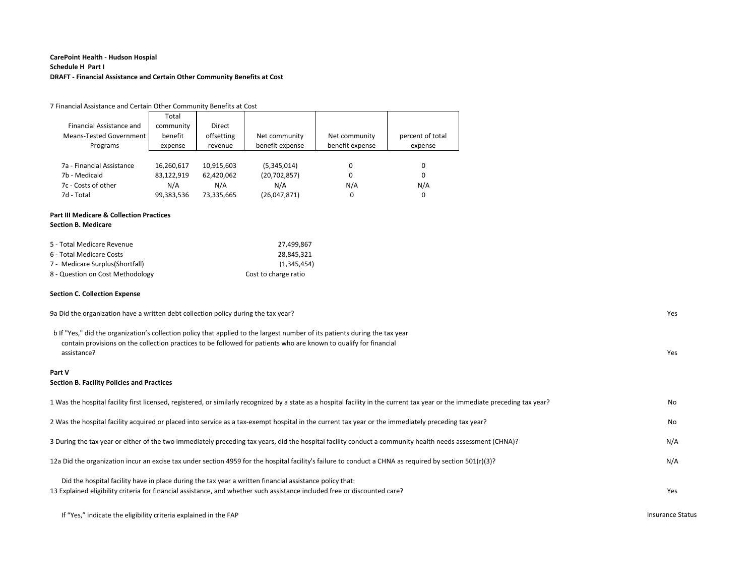### **CarePoint Health - Hudson Hospial Schedule H Part I DRAFT - Financial Assistance and Certain Other Community Benefits at Cost**

| 7 Financial Assistance and Certain Other Community Benefits at Cost |            |            |                 |                 |                  |  |
|---------------------------------------------------------------------|------------|------------|-----------------|-----------------|------------------|--|
|                                                                     | Total      |            |                 |                 |                  |  |
| Financial Assistance and                                            | community  | Direct     |                 |                 |                  |  |
| Means-Tested Government                                             | benefit    | offsetting | Net community   | Net community   | percent of total |  |
| Programs                                                            | expense    | revenue    | benefit expense | benefit expense | expense          |  |
|                                                                     |            |            |                 |                 |                  |  |
| 7a - Financial Assistance                                           | 16,260,617 | 10,915,603 | (5,345,014)     | 0               | 0                |  |
| 7b - Medicaid                                                       | 83,122,919 | 62,420,062 | (20, 702, 857)  | 0               | 0                |  |
| 7c - Costs of other                                                 | N/A        | N/A        | N/A             | N/A             | N/A              |  |
| 7d - Total                                                          | 99,383,536 | 73,335,665 | (26,047,871)    | 0               | 0                |  |
|                                                                     |            |            |                 |                 |                  |  |

#### **Part III Medicare & Collection Practices**

#### **Section B. Medicare**

| 5 - Total Medicare Revenue       | 27.499.867           |
|----------------------------------|----------------------|
| 6 - Total Medicare Costs         | 28.845.321           |
| 7 - Medicare Surplus(Shortfall)  | (1.345.454)          |
| 8 - Question on Cost Methodology | Cost to charge ratio |

#### **Section C. Collection Expense**

| 9a Did the organization have a written debt collection policy during the tax year?                                                                                                                                                                              | Yes |
|-----------------------------------------------------------------------------------------------------------------------------------------------------------------------------------------------------------------------------------------------------------------|-----|
| b If "Yes," did the organization's collection policy that applied to the largest number of its patients during the tax year<br>contain provisions on the collection practices to be followed for patients who are known to qualify for financial<br>assistance? | Yes |
| Part V<br><b>Section B. Facility Policies and Practices</b>                                                                                                                                                                                                     |     |
| 1 Was the hospital facility first licensed, registered, or similarly recognized by a state as a hospital facility in the current tax year or the immediate preceding tax year?                                                                                  | No  |
| 2 Was the hospital facility acquired or placed into service as a tax-exempt hospital in the current tax year or the immediately preceding tax year?                                                                                                             | No  |
| 3 During the tax year or either of the two immediately preceding tax years, did the hospital facility conduct a community health needs assessment (CHNA)?                                                                                                       | N/A |
| 12(r)(3)? 12a Did the organization incur an excise tax under section 4959 for the hospital facility's failure to conduct a CHNA as required by section 501(r)(3)?                                                                                               | N/A |
| Did the hospital facility have in place during the tax year a written financial assistance policy that:<br>13 Explained eligibility criteria for financial assistance, and whether such assistance included free or discounted care?                            | Yes |

If "Yes," indicate the eligibility criteria explained in the FAP Insurance Status and the TAP Insurance Status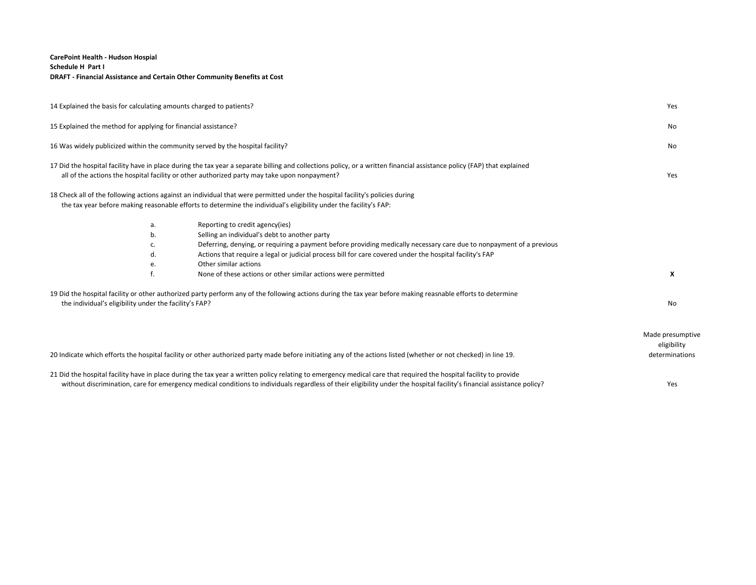### **CarePoint Health - Hudson Hospial Schedule H Part I DRAFT - Financial Assistance and Certain Other Community Benefits at Cost**

| 14 Explained the basis for calculating amounts charged to patients? |    |                                                                                                                                                                                                                                                                                                                                              | Yes                                               |
|---------------------------------------------------------------------|----|----------------------------------------------------------------------------------------------------------------------------------------------------------------------------------------------------------------------------------------------------------------------------------------------------------------------------------------------|---------------------------------------------------|
| 15 Explained the method for applying for financial assistance?      |    |                                                                                                                                                                                                                                                                                                                                              | No                                                |
|                                                                     |    | 16 Was widely publicized within the community served by the hospital facility?                                                                                                                                                                                                                                                               | No                                                |
|                                                                     |    | 17 Did the hospital facility have in place during the tax year a separate billing and collections policy, or a written financial assistance policy (FAP) that explained<br>all of the actions the hospital facility or other authorized party may take upon nonpayment?                                                                      | Yes                                               |
|                                                                     |    | 18 Check all of the following actions against an individual that were permitted under the hospital facility's policies during<br>the tax year before making reasonable efforts to determine the individual's eligibility under the facility's FAP:                                                                                           |                                                   |
|                                                                     | a. | Reporting to credit agency(ies)                                                                                                                                                                                                                                                                                                              |                                                   |
|                                                                     | b. | Selling an individual's debt to another party                                                                                                                                                                                                                                                                                                |                                                   |
|                                                                     | c. | Deferring, denying, or requiring a payment before providing medically necessary care due to nonpayment of a previous                                                                                                                                                                                                                         |                                                   |
|                                                                     | d. | Actions that require a legal or judicial process bill for care covered under the hospital facility's FAP                                                                                                                                                                                                                                     |                                                   |
|                                                                     | е. | Other similar actions                                                                                                                                                                                                                                                                                                                        |                                                   |
|                                                                     |    | None of these actions or other similar actions were permitted                                                                                                                                                                                                                                                                                | X                                                 |
| the individual's eligibility under the facility's FAP?              |    | 19 Did the hospital facility or other authorized party perform any of the following actions during the tax year before making reasnable efforts to determine                                                                                                                                                                                 | <b>No</b>                                         |
|                                                                     |    | 20 Indicate which efforts the hospital facility or other authorized party made before initiating any of the actions listed (whether or not checked) in line 19.                                                                                                                                                                              | Made presumptive<br>eligibility<br>determinations |
|                                                                     |    | 21 Did the hospital facility have in place during the tax year a written policy relating to emergency medical care that required the hospital facility to provide<br>without discrimination, care for emergency medical conditions to individuals regardless of their eligibility under the hospital facility's financial assistance policy? | Yes                                               |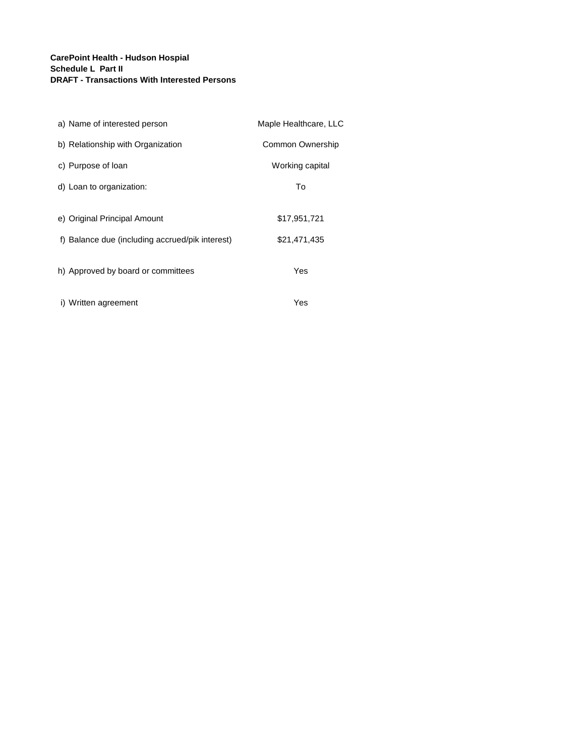### **CarePoint Health - Hudson Hospial Schedule L Part II DRAFT - Transactions With Interested Persons**

| a) Name of interested person                    | Maple Healthcare, LLC |
|-------------------------------------------------|-----------------------|
| b) Relationship with Organization               | Common Ownership      |
| c) Purpose of loan                              | Working capital       |
| d) Loan to organization:                        | To                    |
|                                                 |                       |
| e) Original Principal Amount                    | \$17,951,721          |
| f) Balance due (including accrued/pik interest) | \$21,471,435          |
| h) Approved by board or committees              | Yes                   |
| i) Written agreement                            | Yes                   |